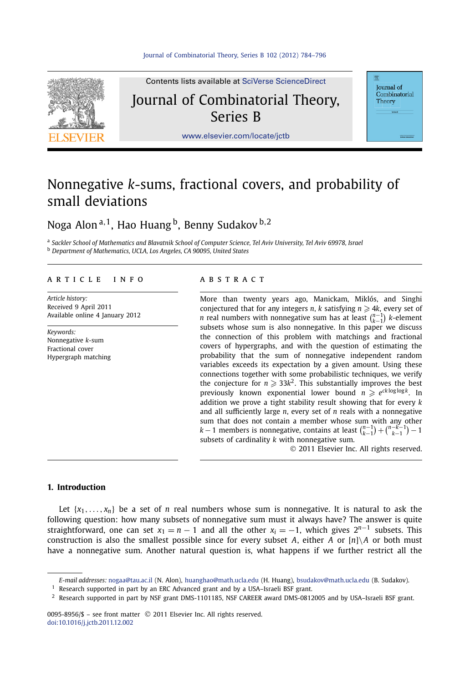

Contents lists available at [SciVerse ScienceDirect](http://www.ScienceDirect.com/) Journal of Combinatorial Theory, Series B

**Journal** of Combinatorial Theory

[www.elsevier.com/locate/jctb](http://www.elsevier.com/locate/jctb)

# Nonnegative *k*-sums, fractional covers, and probability of small deviations

Noga Alon <sup>a</sup>*,*1, Hao Huang b, Benny Sudakov <sup>b</sup>*,*<sup>2</sup>

<sup>a</sup> *Sackler School of Mathematics and Blavatnik School of Computer Science, Tel Aviv University, Tel Aviv 69978, Israel* <sup>b</sup> *Department of Mathematics, UCLA, Los Angeles, CA 90095, United States*

#### article info abstract

*Article history:* Received 9 April 2011 Available online 4 January 2012

*Keywords:* Nonnegative *k*-sum Fractional cover Hypergraph matching

More than twenty years ago, Manickam, Miklós, and Singhi conjectured that for any integers *n*, *k* satisfying  $n \geqslant 4k$ , every set of *n* real numbers with nonnegative sum has at least  $\binom{n-1}{k-1}$  *k*-element subsets whose sum is also nonnegative. In this paper we discuss the connection of this problem with matchings and fractional covers of hypergraphs, and with the question of estimating the probability that the sum of nonnegative independent random variables exceeds its expectation by a given amount. Using these connections together with some probabilistic techniques, we verify the conjecture for  $n \geqslant 33k^2$ . This substantially improves the best previously known exponential lower bound  $n \geq e^{ck \log \log k}$ . In addition we prove a tight stability result showing that for every *k* and all sufficiently large *n*, every set of *n* reals with a nonnegative sum that does not contain a member whose sum with any other *k* − 1 members is nonnegative, contains at least  $\binom{n-1}{k-1} + \binom{n-k-1}{k-1} - 1$ subsets of cardinality *k* with nonnegative sum. © 2011 Elsevier Inc. All rights reserved.

#### **1. Introduction**

Let  $\{x_1, \ldots, x_n\}$  be a set of *n* real numbers whose sum is nonnegative. It is natural to ask the following question: how many subsets of nonnegative sum must it always have? The answer is quite straightforward, one can set  $x_1 = n - 1$  and all the other  $x_i = -1$ , which gives  $2^{n-1}$  subsets. This construction is also the smallest possible since for every subset *A*, either *A* or  $[n]\setminus A$  or both must have a nonnegative sum. Another natural question is, what happens if we further restrict all the

0095-8956/\$ – see front matter © 2011 Elsevier Inc. All rights reserved. [doi:10.1016/j.jctb.2011.12.002](http://dx.doi.org/10.1016/j.jctb.2011.12.002)

*E-mail addresses:* [nogaa@tau.ac.il](mailto:nogaa@tau.ac.il) (N. Alon), [huanghao@math.ucla.edu](mailto:huanghao@math.ucla.edu) (H. Huang), [bsudakov@math.ucla.edu](mailto:bsudakov@math.ucla.edu) (B. Sudakov).

 $1$  Research supported in part by an ERC Advanced grant and by a USA-Israeli BSF grant.

 $2$  Research supported in part by NSF grant DMS-1101185, NSF CAREER award DMS-0812005 and by USA-Israeli BSF grant.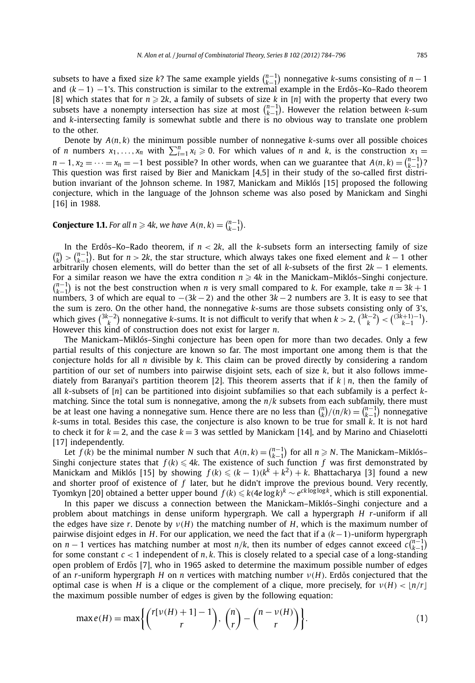subsets to have a fixed size *k*? The same example yields  $\binom{n-1}{k-1}$  nonnegative *k*-sums consisting of *n* − 1 and  $(k-1)$  −1's. This construction is similar to the extremal example in the Erdős–Ko–Rado theorem [8] which states that for  $n \geqslant 2k$ , a family of subsets of size  $k$  in [n] with the property that every two subsets have a nonempty intersection has size at most  $\binom{n-1}{k-1}$ . However the relation between *k*-sum and *k*-intersecting family is somewhat subtle and there is no obvious way to translate one problem to the other.

Denote by  $A(n, k)$  the minimum possible number of nonnegative  $k$ -sums over all possible choices of *n* numbers  $x_1, \ldots, x_n$  with  $\sum_{i=1}^n x_i \ge 0$ . For which values of *n* and *k*, is the construction  $x_1 =$  $n-1, x_2 = \cdots = x_n = -1$  best possible? In other words, when can we guarantee that  $A(n, k) = {n-1 \choose k-1}$ ? This question was first raised by Bier and Manickam [4,5] in their study of the so-called first distribution invariant of the Johnson scheme. In 1987, Manickam and Miklós [15] proposed the following conjecture, which in the language of the Johnson scheme was also posed by Manickam and Singhi [16] in 1988.

## **Conjecture 1.1.** For all  $n \ge 4k$ , we have  $A(n, k) = \binom{n-1}{k-1}$ .

In the Erdős–Ko–Rado theorem, if  $n < 2k$ , all the *k*-subsets form an intersecting family of size  $\binom{n}{k}$  >  $\binom{n-1}{k-1}$ . But for *n* > 2*k*, the star structure, which always takes one fixed element and *k* − 1 other arbitrarily chosen elements, will do better than the set of all *k*-subsets of the first 2*k* − 1 elements. For<sub>\_</sub>a similar reason we have the extra condition  $n \geqslant 4k$  in the Manickam–Miklós–Singhi conjecture.  $\binom{n-1}{k-1}$  is not the best construction when *n* is very small compared to *k*. For example, take  $n = 3k + 1$ numbers, 3 of which are equal to −*(*3*k* − 2*)* and the other 3*k* − 2 numbers are 3. It is easy to see that the sum is zero. On the other hand, the nonnegative *k*-sums are those subsets consisting only of 3's, which gives  $\binom{3k-2}{k}$  nonnegative *k*-sums. It is not difficult to verify that when  $k > 2$ ,  $\binom{3k-2}{k} < \binom{(3k+1)-1}{k-1}$ . However this kind of construction does not exist for larger *n*.

The Manickam–Miklós–Singhi conjecture has been open for more than two decades. Only a few partial results of this conjecture are known so far. The most important one among them is that the conjecture holds for all *n* divisible by *k*. This claim can be proved directly by considering a random partition of our set of numbers into pairwise disjoint sets, each of size *k*, but it also follows immediately from Baranyai's partition theorem [2]. This theorem asserts that if *k* | *n*, then the family of all *k*-subsets of [*n*] can be partitioned into disjoint subfamilies so that each subfamily is a perfect *k*matching. Since the total sum is nonnegative, among the *n/k* subsets from each subfamily, there must be at least one having a nonnegative sum. Hence there are no less than  $\binom{n}{k}/(n/k) = \binom{n-1}{k-1}$  nonnegative *k*-sums in total. Besides this case, the conjecture is also known to be true for small *k*. It is not hard to check it for  $k = 2$ , and the case  $k = 3$  was settled by Manickam [14], and by Marino and Chiaselotti [17] independently.

Let  $f(k)$  be the minimal number *N* such that  $A(n, k) = {n-1 \choose k-1}$  for all  $n \ge N$ . The Manickam–Miklós– Singhi conjecture states that  $f(k) \leq 4k$ . The existence of such function f was first demonstrated by Manickam and Miklós [15] by showing  $f(k) \leq (k-1)(k^k + k^2) + k$ . Bhattacharya [3] found a new and shorter proof of existence of *f* later, but he didn't improve the previous bound. Very recently, Tyomkyn [20] obtained a better upper bound *f (k) k(*4*e* log*k) <sup>k</sup>* ∼ *eck* loglog*k*, which is still exponential.

In this paper we discuss a connection between the Manickam–Miklós–Singhi conjecture and a problem about matchings in dense uniform hypergraph. We call a hypergraph *H r*-uniform if all the edges have size *r*. Denote by *ν(H)* the matching number of *H*, which is the maximum number of pairwise disjoint edges in *H*. For our application, we need the fact that if a *(k*−1*)*-uniform hypergraph on *n* − 1 vertices has matching number at most *n*/*k*, then its number of edges cannot exceed  $c{n-1 \choose k-1}$ for some constant  $c < 1$  independent of *n*, *k*. This is closely related to a special case of a long-standing open problem of Erdős [7], who in 1965 asked to determine the maximum possible number of edges of an *r*-uniform hypergraph *H* on *n* vertices with matching number *ν*(*H*). Erdős conjectured that the optimal case is when *H* is a clique or the complement of a clique, more precisely, for  $v(H) < |n/r|$ the maximum possible number of edges is given by the following equation:

$$
\max e(H) = \max \left\{ {r[v(H) + 1] - 1 \choose r}, {n \choose r} - {n - v(H) \choose r} \right\}.
$$
 (1)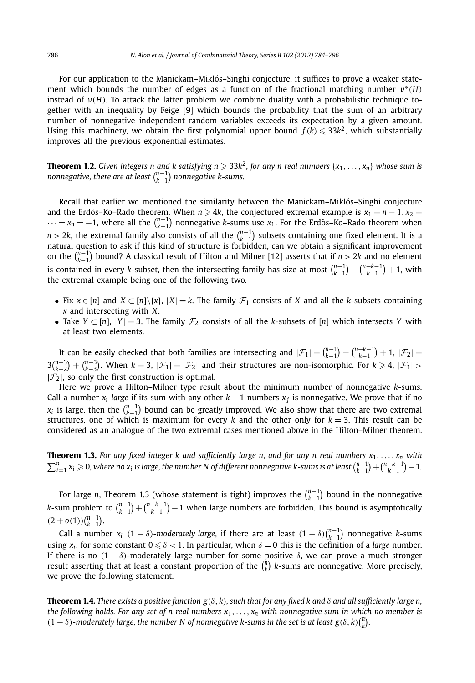For our application to the Manickam–Miklós–Singhi conjecture, it suffices to prove a weaker statement which bounds the number of edges as a function of the fractional matching number *ν*<sup>∗</sup>*(H)* instead of *ν(H)*. To attack the latter problem we combine duality with a probabilistic technique together with an inequality by Feige [9] which bounds the probability that the sum of an arbitrary number of nonnegative independent random variables exceeds its expectation by a given amount. Using this machinery, we obtain the first polynomial upper bound  $f(k) \leq 33k^2$ , which substantially improves all the previous exponential estimates.

**Theorem 1.2.** Given integers n and k satisfying  $n \geq 33k^2$ , for any n real numbers  $\{x_1, \ldots, x_n\}$  whose sum is *nonnegative, there are at least*  $\binom{n-1}{k-1}$  *nonnegative k-sums.* 

Recall that earlier we mentioned the similarity between the Manickam–Miklós–Singhi conjecture and the Erdős–Ko–Rado theorem. When  $n \ge 4k$ , the conjectured extremal example is  $x_1 = n - 1, x_2 = 1$  $\cdots = x_n = -1$ , where all the  $\binom{n-1}{k-1}$  nonnegative *k*-sums use  $x_1$ . For the Erdős–Ko–Rado theorem when  $n > 2k$ , the extremal family also consists of all the  $\binom{n-1}{k-1}$  subsets containing one fixed element. It is a natural question to ask if this kind of structure is forbidden, can we obtain a significant improvement on the  $\binom{\hat{n}-1}{k-1}$  bound? A classical result of Hilton and Milner [12] asserts that if  $n > 2k$  and no element is contained in every *k*-subset, then the intersecting family has size at most  $\binom{n-1}{k-1} - \binom{n-k-1}{k-1} + 1$ , with the extremal example being one of the following two.

- Fix  $x \in [n]$  and  $X \subset [n]\setminus\{x\}$ ,  $|X| = k$ . The family  $\mathcal{F}_1$  consists of *X* and all the *k*-subsets containing *x* and intersecting with *X*.
- Take  $Y \subset [n]$ ,  $|Y| = 3$ . The family  $\mathcal{F}_2$  consists of all the *k*-subsets of  $[n]$  which intersects *Y* with at least two elements.

It can be easily checked that both families are intersecting and  $|\mathcal{F}_1| = {n-1 \choose k-1} - {n-k-1 \choose k-1} + 1$ ,  $|\mathcal{F}_2| =$  $3\binom{n-3}{k-2} + \binom{n-3}{k-3}$ . When  $k = 3$ ,  $|\mathcal{F}_1| = |\mathcal{F}_2|$  and their structures are non-isomorphic. For  $k \geq 4$ ,  $|\mathcal{F}_1| > 4$  $|\mathcal{F}_2|$ , so only the first construction is optimal.

Here we prove a Hilton–Milner type result about the minimum number of nonnegative *k*-sums. Call a number  $x_i$  *large* if its sum with any other  $k-1$  numbers  $x_i$  is nonnegative. We prove that if no  $x_i$  is large, then the  $\binom{n-1}{k-1}$  bound can be greatly improved. We also show that there are two extremal structures, one of which is maximum for every  $k$  and the other only for  $k = 3$ . This result can be considered as an analogue of the two extremal cases mentioned above in the Hilton–Milner theorem.

**Theorem 1.3.** *For any fixed integer k and sufficiently large n, and for any n real numbers x*1*,..., xn with*  $\sum_{i=1}^n x_i \geqslant 0$ , where no  $x_i$  is large, the number N of different nonnegative k-sums is at least  $\binom{n-1}{k-1}+\binom{n-k-1}{k-1}-1$ .

For large *n*, Theorem 1.3 (whose statement is tight) improves the  $\binom{n-1}{k-1}$  bound in the nonnegative *k*-sum problem to  $\binom{n-1}{k-1} + \binom{n-k-1}{k-1} - 1$  when large numbers are forbidden. This bound is asymptotically  $(2+o(1))\binom{n-1}{k-1}.$ 

Call a number  $x_i$   $(1 - \delta)$ -moderately large, if there are at least  $(1 - \delta) \binom{n-1}{k-1}$  nonnegative *k*-sums using  $x_i$ , for some constant  $0 \le \delta < 1$ . In particular, when  $\delta = 0$  this is the definition of a *large* number. If there is no *(*1 − *δ)*-moderately large number for some positive *δ*, we can prove a much stronger result asserting that at least a constant proportion of the  $\binom{n}{k}$  k-sums are nonnegative. More precisely, we prove the following statement.

**Theorem 1.4.** *There exists a positive function g(δ,k), such that for any fixed k and δ and all sufficiently large n, the following holds. For any set of n real numbers x*1*,..., xn with nonnegative sum in which no member is*  $(1 - \delta)$ -moderately large, the number N of nonnegative k-sums in the set is at least  $g(\delta, k) {n \choose k}$ .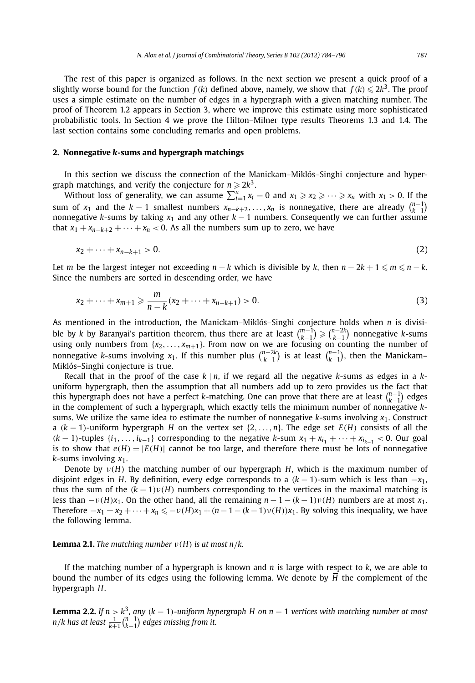The rest of this paper is organized as follows. In the next section we present a quick proof of a slightly worse bound for the function  $f(k)$  defined above, namely, we show that  $f(k) \le 2k^3$ . The proof uses a simple estimate on the number of edges in a hypergraph with a given matching number. The proof of Theorem 1.2 appears in Section 3, where we improve this estimate using more sophisticated probabilistic tools. In Section 4 we prove the Hilton–Milner type results Theorems 1.3 and 1.4. The last section contains some concluding remarks and open problems.

#### **2. Nonnegative** *k***-sums and hypergraph matchings**

In this section we discuss the connection of the Manickam–Miklós–Singhi conjecture and hypergraph matchings, and verify the conjecture for  $n \geqslant 2k^3$ .

Without loss of generality, we can assume  $\sum_{i=1}^{n} x_i = 0$  and  $x_1 \ge x_2 \ge \cdots \ge x_n$  with  $x_1 > 0$ . If the sum of *x*<sub>1</sub> and the *k* − 1 smallest numbers  $x_{n-k+2},...,x_n$  is nonnegative, there are already  $\binom{n-1}{k-1}$ nonnegative *k*-sums by taking  $x_1$  and any other  $k - 1$  numbers. Consequently we can further assume that  $x_1 + x_{n-k+2} + \cdots + x_n < 0$ . As all the numbers sum up to zero, we have

$$
x_2 + \dots + x_{n-k+1} > 0. \tag{2}
$$

Let *m* be the largest integer not exceeding  $n - k$  which is divisible by *k*, then  $n - 2k + 1 \le m \le n - k$ . Since the numbers are sorted in descending order, we have

$$
x_2 + \dots + x_{m+1} \geqslant \frac{m}{n-k}(x_2 + \dots + x_{n-k+1}) > 0. \tag{3}
$$

As mentioned in the introduction, the Manickam–Miklós–Singhi conjecture holds when *n* is divisible by *k* by Baranyai's partition theorem, thus there are at least  $\binom{m-1}{k-1}\geqslant\binom{n-2k}{k-1}$  nonnegative *k*-sums using only numbers from  $\{x_2, \ldots, x_{m+1}\}$ . From now on we are focusing on counting the number of nonnegative *k*-sums involving  $x_1$ . If this number plus  $\binom{n-2k}{k-1}$  is at least  $\binom{n-1}{k-1}$ , then the Manickam– Miklós–Singhi conjecture is true.

Recall that in the proof of the case *k* | *n*, if we regard all the negative *k*-sums as edges in a *k*uniform hypergraph, then the assumption that all numbers add up to zero provides us the fact that this hypergraph does not have a perfect *k*-matching. One can prove that there are at least  $\binom{n-1}{k-1}$  edges in the complement of such a hypergraph, which exactly tells the minimum number of nonnegative *k*sums. We utilize the same idea to estimate the number of nonnegative *k*-sums involving *x*1. Construct a *(k* − 1*)*-uniform hypergraph *H* on the vertex set {2*,...,n*}. The edge set *E(H)* consists of all the  $(k-1)$ -tuples  $\{i_1, \ldots, i_{k-1}\}$  corresponding to the negative *k*-sum  $x_1 + x_{i_1} + \cdots + x_{i_{k-1}} < 0$ . Our goal is to show that  $e(H) = |E(H)|$  cannot be too large, and therefore there must be lots of nonnegative *k*-sums involving *x*1.

Denote by *ν(H)* the matching number of our hypergraph *H*, which is the maximum number of disjoint edges in *H*. By definition, every edge corresponds to a  $(k - 1)$ -sum which is less than  $-x_1$ , thus the sum of the  $(k-1)v(H)$  numbers corresponding to the vertices in the maximal matching is less than  $-\nu(H)x_1$ . On the other hand, all the remaining  $n-1-(k-1)\nu(H)$  numbers are at most  $x_1$ . Therefore  $-x_1 = x_2 + \cdots + x_n \leq -\nu(H)x_1 + (n-1-(k-1)\nu(H))x_1$ . By solving this inequality, we have the following lemma.

#### **Lemma 2.1.** *The matching number*  $v(H)$  *is at most n/k.*

If the matching number of a hypergraph is known and *n* is large with respect to *k*, we are able to bound the number of its edges using the following lemma. We denote by *H* the complement of the hypergraph *H*.

**Lemma 2.2.** *If n > k*3*, any (k* − 1*)-uniform hypergraph H on n* − 1 *vertices with matching number at most n*/*k* has at least  $\frac{1}{k+1}$   $\binom{n-1}{k-1}$  edges missing from it.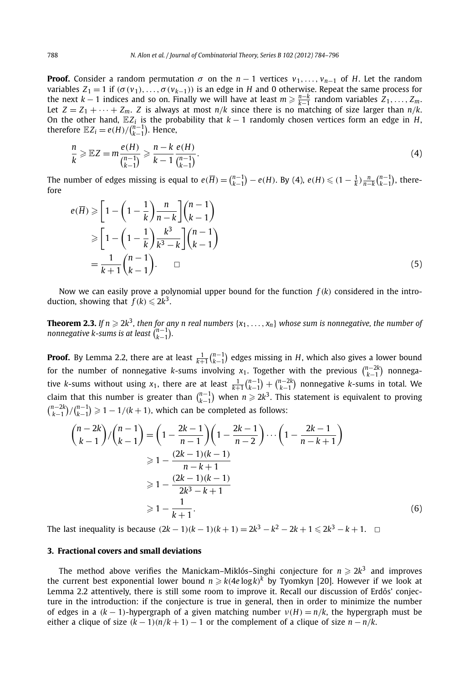**Proof.** Consider a random permutation  $\sigma$  on the *n* − 1 vertices  $v_1, \ldots, v_{n-1}$  of *H*. Let the random variables  $Z_1 = 1$  if  $(\sigma(v_1),...,\sigma(v_{k-1}))$  is an edge in *H* and 0 otherwise. Repeat the same process for the next *k* − 1 indices and so on. Finally we will have at least  $m \geqslant \frac{n-k}{k-1}$  random variables  $Z_1, \ldots, Z_m$ . Let  $Z = Z_1 + \cdots + Z_m$ . *Z* is always at most  $n/k$  since there is no matching of size larger than  $n/k$ . On the other hand, E*Zi* is the probability that *<sup>k</sup>* − 1 randomly chosen vertices form an edge in *<sup>H</sup>*, therefore  $\mathbb{E}Z_i = e(H)/\binom{n-1}{k-1}$ . Hence,

$$
\frac{n}{k} \geqslant \mathbb{E}Z = m \frac{e(H)}{\binom{n-1}{k-1}} \geqslant \frac{n-k}{k-1} \frac{e(H)}{\binom{n-1}{k-1}}.
$$
\n(4)

The number of edges missing is equal to  $e(\overline{H}) = {n-1 \choose k-1} - e(H)$ . By (4),  $e(H) \le (1 - \frac{1}{k}) \frac{n}{n-k} {n-1 \choose k-1}$ , therefore

$$
e(\overline{H}) \geqslant \left[1 - \left(1 - \frac{1}{k}\right) \frac{n}{n - k}\right] \binom{n - 1}{k - 1}
$$
\n
$$
\geqslant \left[1 - \left(1 - \frac{1}{k}\right) \frac{k^3}{k^3 - k}\right] \binom{n - 1}{k - 1}
$$
\n
$$
= \frac{1}{k + 1} \binom{n - 1}{k - 1} . \qquad \Box
$$
\n(5)

Now we can easily prove a polynomial upper bound for the function  $f(k)$  considered in the introduction, showing that  $f(k) \le 2k^3$ .

**Theorem 2.3.** If  $n \geqslant 2k^3$ , then for any  $n$  real numbers  $\{x_1,\ldots,x_n\}$  whose sum is nonnegative, the number of  $n$ onnegative k-sums is at least  $\binom{n-1}{k-1}$ .

**Proof.** By Lemma 2.2, there are at least  $\frac{1}{k+1}\binom{n-1}{k-1}$  edges missing in *H*, which also gives a lower bound for the number of nonnegative *k*-sums involving  $x_1$ . Together with the previous  $\binom{n-2k}{k-1}$  nonnegative *k*-sums without using  $x_1$ , there are at least  $\frac{1}{k+1} {n-1 \choose k-1} + {n-2k \choose k-1}$  nonnegative *k*-sums in total. We claim that this number is greater than  $\binom{n-1}{k-1}$  when  $n \geqslant 2k^3$ . This statement is equivalent to proving  ${n-2k \choose k-1}$ / ${n-1 \choose k-1}$  ≥ 1 − 1/(*k* + 1), which can be completed as follows:

$$
\binom{n-2k}{k-1} / \binom{n-1}{k-1} = \left(1 - \frac{2k-1}{n-1}\right) \left(1 - \frac{2k-1}{n-2}\right) \cdots \left(1 - \frac{2k-1}{n-k+1}\right)
$$
  
\n
$$
\geq 1 - \frac{(2k-1)(k-1)}{n-k+1}
$$
  
\n
$$
\geq 1 - \frac{(2k-1)(k-1)}{2k^3 - k + 1}
$$
  
\n
$$
\geq 1 - \frac{1}{k+1}.
$$
 (6)

The last inequality is because  $(2k - 1)(k - 1)(k + 1) = 2k^3 - k^2 - 2k + 1 \le 2k^3 - k + 1$ . □

#### **3. Fractional covers and small deviations**

The method above verifies the Manickam–Miklós–Singhi conjecture for  $n \geqslant 2k^3$  and improves the current best exponential lower bound  $n \geqslant k(4e\log k)^k$  by Tyomkyn [20]. However if we look at Lemma 2.2 attentively, there is still some room to improve it. Recall our discussion of Erdős' conjecture in the introduction: if the conjecture is true in general, then in order to minimize the number of edges in a  $(k - 1)$ -hypergraph of a given matching number  $v(H) = n/k$ , the hypergraph must be either a clique of size  $(k-1)(n/k+1) - 1$  or the complement of a clique of size  $n - n/k$ .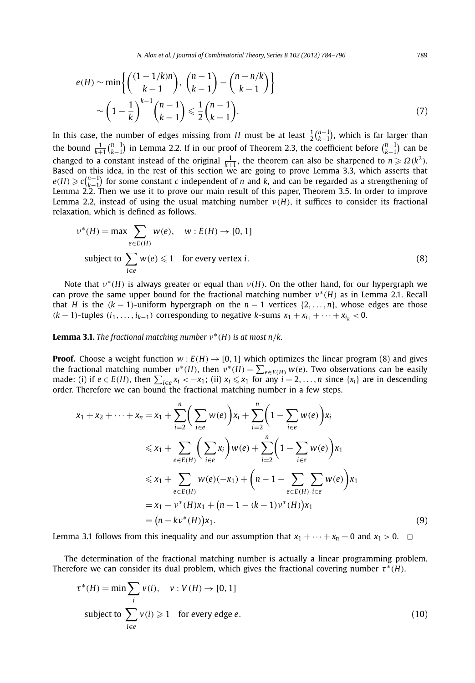*N. Alon et al. / Journal of Combinatorial Theory, Series B 102 (2012) 784–796* 789

$$
e(H) \sim \min\left\{ \binom{(1-1/k)n}{k-1}, \binom{n-1}{k-1} - \binom{n-n/k}{k-1} \right\}
$$

$$
\sim \left(1 - \frac{1}{k}\right)^{k-1} \binom{n-1}{k-1} \leq \frac{1}{2} \binom{n-1}{k-1}.
$$

$$
(7)
$$

In this case, the number of edges missing from *H* must be at least  $\frac{1}{2} {n-1 \choose k-1}$ , which is far larger than the bound  $\frac{1}{k+1}\binom{n-1}{k-1}$  in Lemma 2.2. If in our proof of Theorem 2.3, the coefficient before  $\binom{n-1}{k-1}$  can be changed to a constant instead of the original  $\frac{1}{k+1}$ , the theorem can also be sharpened to  $n \geq \Omega(k^2)$ . Based on this idea, in the rest of this section we are going to prove Lemma 3.3, which asserts that  $e(H) \geqslant c\binom{n-1}{k-1}$  for some constant *c* independent of *n* and *k*, and can be regarded as a strengthening of Lemma 2.2. Then we use it to prove our main result of this paper, Theorem 3.5. In order to improve Lemma 2.2, instead of using the usual matching number  $v(H)$ , it suffices to consider its fractional relaxation, which is defined as follows.

$$
v^*(H) = \max \sum_{e \in E(H)} w(e), \quad w : E(H) \to [0, 1]
$$
  
subject to  $\sum_{i \in e} w(e) \le 1$  for every vertex *i*. (8)

Note that *ν*<sup>∗</sup>*(H)* is always greater or equal than *ν(H)*. On the other hand, for our hypergraph we can prove the same upper bound for the fractional matching number *ν*<sup>∗</sup>*(H)* as in Lemma 2.1. Recall that *H* is the  $(k - 1)$ -uniform hypergraph on the  $n - 1$  vertices  $\{2, \ldots, n\}$ , whose edges are those *(k* − 1)-tuples  $(i_1, ..., i_{k-1})$  corresponding to negative *k*-sums  $x_1 + x_{i_1} + \cdots + x_{i_k} < 0$ .

### **Lemma 3.1.** *The fractional matching number*  $v^*(H)$  *is at most n/k.*

**Proof.** Choose a weight function  $w : E(H) \rightarrow [0, 1]$  which optimizes the linear program (8) and gives the fractional matching number  $v^*(H)$ , then  $v^*(H) = \sum_{e \in E(H)} w(e)$ . Two observations can be easily made: (i) if *e* ∈ *E*(*H*), then  $\sum_{i \in e} x_i$  < −*x*<sub>1</sub>; (ii)  $x_i$  ≤ *x*<sub>1</sub> for any  $i = 2, ..., n$  since {*x<sub>i</sub>*} are in descending order. Therefore we can bound the fractional matching number in a few steps.

$$
x_1 + x_2 + \dots + x_n = x_1 + \sum_{i=2}^n \left( \sum_{i \in e} w(e) \right) x_i + \sum_{i=2}^n \left( 1 - \sum_{i \in e} w(e) \right) x_i
$$
  
\n
$$
\leq x_1 + \sum_{e \in E(H)} \left( \sum_{i \in e} x_i \right) w(e) + \sum_{i=2}^n \left( 1 - \sum_{i \in e} w(e) \right) x_1
$$
  
\n
$$
\leq x_1 + \sum_{e \in E(H)} w(e) (-x_1) + \left( n - 1 - \sum_{e \in E(H)} \sum_{i \in e} w(e) \right) x_1
$$
  
\n
$$
= x_1 - \nu^*(H)x_1 + (n - 1 - (k - 1)\nu^*(H))x_1
$$
  
\n
$$
= (n - k\nu^*(H))x_1.
$$
 (9)

Lemma 3.1 follows from this inequality and our assumption that  $x_1 + \cdots + x_n = 0$  and  $x_1 > 0$ .  $\Box$ 

The determination of the fractional matching number is actually a linear programming problem. Therefore we can consider its dual problem, which gives the fractional covering number  $\tau^*(H)$ .

$$
\tau^*(H) = \min \sum_{i} v(i), \quad v: V(H) \to [0, 1]
$$
  
subject to 
$$
\sum_{i \in e} v(i) \ge 1 \quad \text{for every edge } e.
$$
 (10)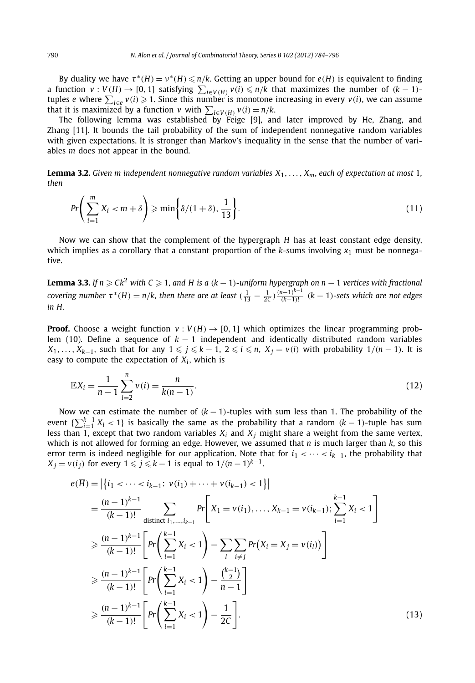By duality we have  $\tau^*(H) = \nu^*(H) \leq \frac{n}{k}$ . Getting an upper bound for  $e(H)$  is equivalent to finding a function  $v: V(H) \to [0, 1]$  satisfying  $\sum_{i \in V(H)} v(i) \leq n/k$  that maximizes the number of  $(k-1)$ tuples *e* where  $\sum_{i \in e} v(i) \geqslant 1$ . Since this number is monotone increasing in every  $v(i)$ , we can assume that it is maximized by a function *v* with  $\sum_{i\in V(H)} v(i) = n/k$ .

The following lemma was established by Feige [9], and later improved by He, Zhang, and Zhang [11]. It bounds the tail probability of the sum of independent nonnegative random variables with given expectations. It is stronger than Markov's inequality in the sense that the number of variables *m* does not appear in the bound.

**Lemma 3.2.** *Given m independent nonnegative random variables*  $X_1, \ldots, X_m$ *, each of expectation at most* 1*, then*

$$
Pr\bigg(\sum_{i=1}^{m} X_i < m + \delta\bigg) \geqslant \min\bigg\{\delta/(1+\delta), \frac{1}{13}\bigg\}.\tag{11}
$$

Now we can show that the complement of the hypergraph *H* has at least constant edge density, which implies as a corollary that a constant proportion of the  $k$ -sums involving  $x_1$  must be nonnegative.

 ${\bf Lemma~3.3.}$  If  $n\geqslant Ck^2$  with C  $\geqslant 1$ , and H is a  $(k-1)$ -uniform hypergraph on  $n-1$  vertices with fractional covering number  $\tau^*(H) = n/k$ , then there are at least  $(\frac{1}{13} - \frac{1}{2C})\frac{(n-1)^{k-1}}{(k-1)!}$   $(k-1)$ -sets which are not edges *in H.*

**Proof.** Choose a weight function  $v : V(H) \rightarrow [0, 1]$  which optimizes the linear programming problem (10). Define a sequence of *k* − 1 independent and identically distributed random variables *X*<sub>1</sub>*,..., X*<sub>*k*−1</sub>*,* such that for any  $1 \leq j \leq k - 1$ ,  $2 \leq i \leq n$ ,  $X_j = v(i)$  with probability  $1/(n-1)$ . It is easy to compute the expectation of  $X_i$ , which is

$$
\mathbb{E}X_i = \frac{1}{n-1} \sum_{i=2}^n v(i) = \frac{n}{k(n-1)}.
$$
\n(12)

Now we can estimate the number of  $(k - 1)$ -tuples with sum less than 1. The probability of the event  $\{\sum_{i=1}^{k-1} X_i < 1\}$  is basically the same as the probability that a random  $(k-1)$ -tuple has sum less than 1, except that two random variables  $X_i$  and  $X_j$  might share a weight from the same vertex, which is not allowed for forming an edge. However, we assumed that *n* is much larger than *k*, so this error term is indeed negligible for our application. Note that for  $i_1 < \cdots < i_{k-1}$ , the probability that *X*<sub>*j*</sub> = *v*(*i*<sub>*j*</sub>) for every 1  $\leqslant$  *j*  $\leqslant$  *k* − 1 is equal to 1/(*n* − 1)<sup>*k*−1</sup>.

$$
e(\overline{H}) = |\{i_1 < \dots < i_{k-1}: v(i_1) + \dots + v(i_{k-1}) < 1\}|
$$
  
\n
$$
= \frac{(n-1)^{k-1}}{(k-1)!} \sum_{\text{distinct } i_1, \dots, i_{k-1}} Pr\left[X_1 = v(i_1), \dots, X_{k-1} = v(i_{k-1}); \sum_{i=1}^{k-1} X_i < 1\right]
$$
  
\n
$$
\geq \frac{(n-1)^{k-1}}{(k-1)!} \left[ Pr\left(\sum_{i=1}^{k-1} X_i < 1\right) - \sum_{i} \sum_{i \neq j} Pr(X_i = X_j = v(i_l)) \right]
$$
  
\n
$$
\geq \frac{(n-1)^{k-1}}{(k-1)!} \left[ Pr\left(\sum_{i=1}^{k-1} X_i < 1\right) - \frac{\binom{k-1}{2}}{n-1} \right]
$$
  
\n
$$
\geq \frac{(n-1)^{k-1}}{(k-1)!} \left[ Pr\left(\sum_{i=1}^{k-1} X_i < 1\right) - \frac{1}{2C} \right].
$$
 (13)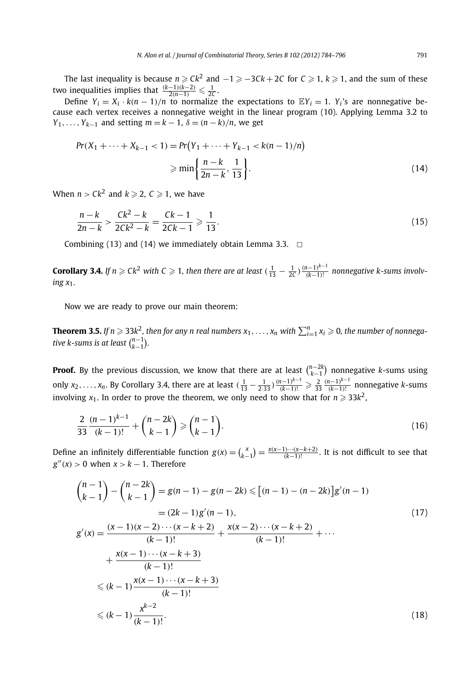The last inequality is because  $n \geqslant Ck^2$  and  $-1 \geqslant -3Ck + 2C$  for  $C \geqslant 1$ ,  $k \geqslant 1$ , and the sum of these two inequalities implies that  $\frac{(k-1)(k-2)}{2(n-1)} \leq \frac{1}{2C}$ .

Define  $Y_i = X_i \cdot k(n-1)/n$  to normalize the expectations to  $EY_i = 1$ .  $Y_i$ 's are nonnegative because each vertex receives a nonnegative weight in the linear program (10). Applying Lemma 3.2 to *Y*<sub>1</sub>,..., *Y*<sub>*k*−1</sub> and setting  $m = k - 1$ ,  $\delta = (n - k)/n$ , we get

$$
Pr(X_1 + \dots + X_{k-1} < 1) = Pr(Y_1 + \dots + Y_{k-1} < k(n-1)/n)
$$
\n
$$
\geq \min\left\{\frac{n-k}{2n-k}, \frac{1}{13}\right\}.\tag{14}
$$

When  $n > Ck^2$  and  $k \geqslant 2$ ,  $C \geqslant 1$ , we have

$$
\frac{n-k}{2n-k} > \frac{Ck^2 - k}{2Ck^2 - k} = \frac{Ck - 1}{2Ck - 1} \geqslant \frac{1}{13}.\tag{15}
$$

Combining (13) and (14) we immediately obtain Lemma 3.3.  $\Box$ 

**Corollary 3.4.** If  $n \ge Ck^2$  with  $C \ge 1$ , then there are at least  $(\frac{1}{13} - \frac{1}{2C}) \frac{(n-1)^{k-1}}{(k-1)!}$  nonnegative k-sums involv*ing x*1*.*

Now we are ready to prove our main theorem:

 $\bf{Theorem 3.5.}$  If  $n \geqslant 33k^2$ , then for any  $n$  real numbers  $x_1,\ldots,x_n$  with  $\sum_{i=1}^n x_i \geqslant 0$ , the number of nonnega*tive k-sums is at least*  $\binom{n-1}{k-1}$ *.* 

**Proof.** By the previous discussion, we know that there are at least  $\binom{n-2k}{k-1}$  nonnegative *k*-sums using only  $x_2, \ldots, x_n$ . By Corollary 3.4, there are at least  $(\frac{1}{13} - \frac{1}{2 \cdot 33}) \frac{(n-1)^{k-1}}{(k-1)!} \geq \frac{2}{33} \frac{(n-1)^{k-1}}{(k-1)!}$  nonnegative k-sums involving  $x_1.$  In order to prove the theorem, we only need to show that for  $n\geqslant 33k^2,$ 

$$
\frac{2}{33} \frac{(n-1)^{k-1}}{(k-1)!} + \binom{n-2k}{k-1} \ge \binom{n-1}{k-1}.
$$
\n(16)

Define an infinitely differentiable function  $g(x) = {x \choose k-1} = \frac{x(x-1)\cdots(x-k+2)}{(k-1)!}$ . It is not difficult to see that  $g''(x) > 0$  when  $x > k - 1$ . Therefore

$$
{n-1 \choose k-1} - {n-2k \choose k-1} = g(n-1) - g(n-2k) \le [(n-1) - (n-2k)]g'(n-1)
$$
  
\n
$$
= (2k-1)g'(n-1),
$$
  
\n
$$
g'(x) = \frac{(x-1)(x-2)\cdots(x-k+2)}{(k-1)!} + \frac{x(x-2)\cdots(x-k+2)}{(k-1)!} + \cdots
$$
  
\n
$$
+ \frac{x(x-1)\cdots(x-k+3)}{(k-1)!}
$$
  
\n
$$
\le (k-1)\frac{x(x-1)\cdots(x-k+3)}{(k-1)!}
$$
  
\n
$$
\le (k-1)\frac{x^{k-2}}{(k-1)!}.
$$
\n(18)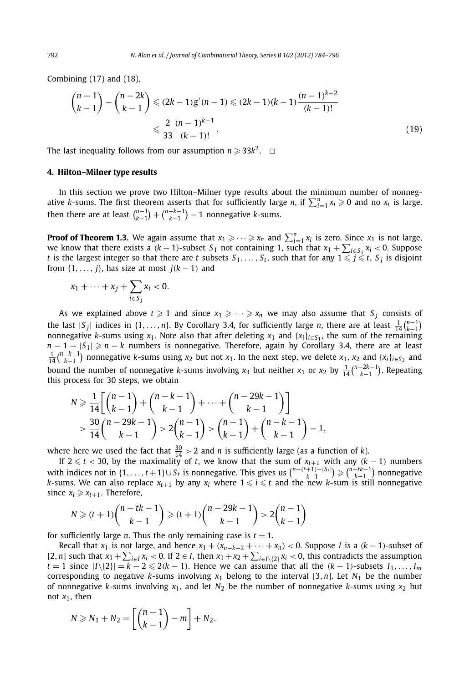Combining (17) and (18),

$$
\binom{n-1}{k-1} - \binom{n-2k}{k-1} \le (2k-1)g'(n-1) \le (2k-1)(k-1)\frac{(n-1)^{k-2}}{(k-1)!}
$$
  

$$
\le \frac{2}{33} \frac{(n-1)^{k-1}}{(k-1)!}.
$$
 (19)

The last inequality follows from our assumption  $n \geqslant 33k^2$ .  $\Box$ 

#### **4. Hilton–Milner type results**

In this section we prove two Hilton–Milner type results about the minimum number of nonnegative *k*-sums. The first theorem asserts that for sufficiently large *n*, if  $\sum_{i=1}^{n} x_i \geqslant 0$  and no  $x_i$  is large, then there are at least  $\binom{n-1}{k-1} + \binom{n-k-1}{k-1} - 1$  nonnegative *k*-sums.

**Proof of Theorem 1.3.** We again assume that  $x_1 \geqslant \cdots \geqslant x_n$  and  $\sum_{i=1}^n x_i$  is zero. Since  $x_1$  is not large, we know that there exists a  $(k - 1)$ -subset  $S_1$  not containing 1, such that  $x_1 + \sum_{i \in S_1} x_i < 0$ . Suppose *t* is the largest integer so that there are *t* subsets  $S_1, \ldots, S_t$ , such that for any  $1 \leq \bar{j} \leq t$ ,  $S_j$  is disjoint from  $\{1, \ldots, j\}$ , has size at most  $j(k-1)$  and

$$
x_1+\cdots+x_j+\sum_{i\in S_j}x_i<0.
$$

As we explained above  $t \geqslant 1$  and since  $x_1 \geqslant \cdots \geqslant x_n$  we may also assume that  $S_j$  consists of the last  $|S_j|$  indices in  $\{1, \ldots, n\}$ . By Corollary 3.4, for sufficiently large *n*, there are at least  $\frac{1}{14} {n-1 \choose k-1}$ nonnegative *k*-sums using  $x_1$ . Note also that after deleting  $x_1$  and  $\{x_i\}_{i\in S_1}$ , the sum of the remaining *n* − 1 − |*S*<sub>1</sub>| ≥ *n* − *k* numbers is nonnegative. Therefore, again by Corollary 3.4, there are at least  $\frac{1}{14}$  $\binom{n-k-1}{k-1}$  nonnegative *k*-sums using *x*<sub>2</sub> but not *x*<sub>1</sub>. In the next step, we delete *x*<sub>1</sub>, *x*<sub>2</sub> and {*x<sub>i</sub>*}<sub>*i*∈*S*<sub>2</sub> and</sub> bound the number of nonnegative *k*-sums involving *x*<sub>3</sub> but neither *x*<sub>1</sub> or *x*<sub>2</sub> by  $\frac{1}{14} {n-2k-1 \choose k-1}$ . Repeating this process for 30 steps, we obtain

$$
N \geq \frac{1}{14} \left[ \binom{n-1}{k-1} + \binom{n-k-1}{k-1} + \dots + \binom{n-29k-1}{k-1} \right] \\
\quad \geq \frac{30}{14} \binom{n-29k-1}{k-1} > 2 \binom{n-1}{k-1} > \binom{n-1}{k-1} + \binom{n-k-1}{k-1} - 1,
$$

where here we used the fact that  $\frac{30}{14} > 2$  and *n* is sufficiently large (as a function of *k*).

If  $2 ≤ t < 30$ , by the maximality of *t*, we know that the sum of  $x_{t+1}$  with any  $(k-1)$  numbers with indices not in  $\{1, \ldots, t+1\} \cup S_t$  is nonnegative. This gives us  $\binom{n-(t+1)-|S_t|}{k-1} \geq \binom{n-tk-1}{k-1}$  nonnegative *k*-sums. We can also replace  $x_{t+1}$  by any  $x_i$  where  $1 \leq i \leq t$  and the new *k*-sum is still nonnegative since  $x_i \geqslant x_{t+1}$ . Therefore,

$$
N \ge (t+1) \binom{n-tk-1}{k-1} \ge (t+1) \binom{n-29k-1}{k-1} > 2 \binom{n-1}{k-1}
$$

for sufficiently large *n*. Thus the only remaining case is  $t = 1$ .

Recall that  $x_1$  is not large, and hence  $x_1 + (x_{n-k+2} + \cdots + x_n) < 0$ . Suppose *I* is a  $(k-1)$ -subset of [2, *n*] such that  $x_1 + \sum_{i \in I} x_i < 0$ . If  $2 \in I$ , then  $x_1 + x_2 + \sum_{i \in I \setminus \{2\}} x_i < 0$ , this contradicts the assumption *t* = 1 since  $|I\setminus\{2\}| = k - 2 \leqslant 2(k - 1)$ . Hence we can assume that all the  $(k - 1)$ -subsets  $I_1, \ldots, I_m$ corresponding to negative *k*-sums involving  $x_1$  belong to the interval [3, *n*]. Let  $N_1$  be the number of nonnegative *k*-sums involving  $x_1$ , and let  $N_2$  be the number of nonnegative *k*-sums using  $x_2$  but not  $x_1$ , then

$$
N \geqslant N_1 + N_2 = \left[ \binom{n-1}{k-1} - m \right] + N_2.
$$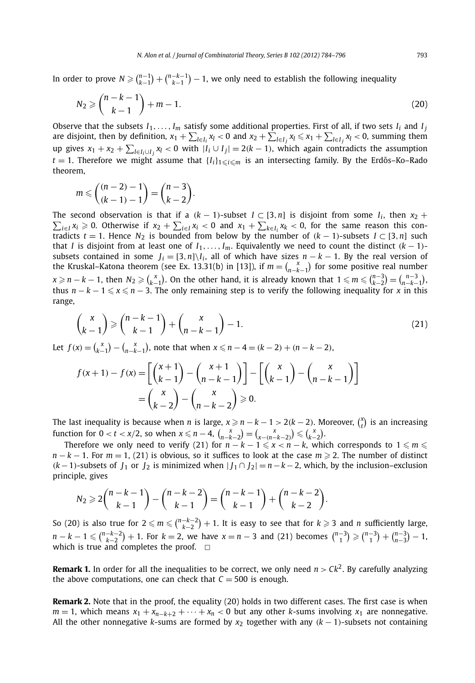In order to prove  $N \geqslant {n-1 \choose k-1} + {n-k-1 \choose k-1} - 1$ , we only need to establish the following inequality

$$
N_2 \geqslant \binom{n-k-1}{k-1} + m - 1. \tag{20}
$$

Observe that the subsets  $I_1, \ldots, I_m$  satisfy some additional properties. First of all, if two sets  $I_i$  and  $I_j$ are disjoint, then by definition,  $x_1 + \sum_{l \in I_j} x_l < 0$  and  $x_2 + \sum_{l \in I_j} x_l \le x_1 + \sum_{l \in I_j} x_l < 0$ , summing them up gives  $x_1 + x_2 + \sum_{l \in I_i \cup I_j} x_l$  < 0 with  $|I_i \cup I_j| = 2(k − 1)$ , which again contradicts the assumption  $t = 1$ . Therefore we might assume that  ${I_i}_1$ <sub>i</sub> $\leq i \leq m$  is an intersecting family. By the Erdős–Ko–Rado theorem,

$$
m \leq {n-2-1 \choose (k-1)-1} = {n-3 \choose k-2}.
$$

The second observation is that if a  $(k - 1)$ -subset  $I \subset [3, n]$  is disjoint from some  $I_i$ , then  $x_2 +$  $\sum_{i \in I} x_i \ge 0$ . Otherwise if  $x_2 + \sum_{i \in I} x_i < 0$  and  $x_1 + \sum_{k \in I_i} x_k < 0$ , for the same reason this contradicts  $t = 1$ . Hence  $N_2$  is bounded from below by the number of  $(k - 1)$ -subsets  $I \subset [3, n]$  such that *I* is disjoint from at least one of  $I_1, \ldots, I_m$ . Equivalently we need to count the distinct  $(k-1)$ subsets contained in some  $J_i = [3, n] \setminus I_i$ , all of which have sizes  $n - k - 1$ . By the real version of the Kruskal–Katona theorem (see Ex. 13.31(b) in [13]), if  $m = {x \choose n-k-1}$  for some positive real number  $x \ge n - k - 1$ , then  $N_2 \ge {x \choose k-1}$ . On the other hand, it is already known that  $1 \le m \le {n-3 \choose k-2} = {n-3 \choose n-k-1}$ . thus  $n - k - 1 \leq x \leq n - 3$ . The only remaining step is to verify the following inequality for *x* in this range,

$$
\binom{x}{k-1} \geqslant \binom{n-k-1}{k-1} + \binom{x}{n-k-1} - 1. \tag{21}
$$

Let  $f(x) = {x \choose k-1} - {x \choose n-k-1}$ , note that when  $x \le n-4 = (k-2) + (n-k-2)$ ,

$$
f(x+1) - f(x) = \left[ \binom{x+1}{k-1} - \binom{x+1}{n-k-1} \right] - \left[ \binom{x}{k-1} - \binom{x}{n-k-1} \right]
$$

$$
= \binom{x}{k-2} - \binom{x}{n-k-2} \ge 0.
$$

The last inequality is because when *n* is large,  $x \geq n - k - 1 > 2(k - 2)$ . Moreover,  $\binom{x}{t}$  is an increasing  $\text{function for } 0 < t < x/2, \text{ so when } x \leq n-4, \, \binom{x}{n-k-2} = \binom{x}{x-(n-k-2)} \leq \binom{x}{k-2}.$ 

Therefore we only need to verify (21) for  $n - k - 1 \leq x < n - k$ , which corresponds to  $1 \leq m \leq n$  $n - k - 1$ . For  $m = 1$ , (21) is obvious, so it suffices to look at the case  $m \ge 2$ . The number of distinct  $(k-1)$ -subsets of *J*<sub>1</sub> or *J*<sub>2</sub> is minimized when  $|J_1 \cap J_2| = n - k - 2$ , which, by the inclusion–exclusion principle, gives

$$
N_2 \geqslant 2\binom{n-k-1}{k-1} - \binom{n-k-2}{k-1} = \binom{n-k-1}{k-1} + \binom{n-k-2}{k-2}.
$$

So (20) is also true for  $2 \leqslant m \leqslant {n-k-2 \choose k-2}+1.$  It is easy to see that for  $k \geqslant 3$  and *n* sufficiently large,  $n-k-1 \leqslant {\binom{n-k-2}{k-2}}+1$ . For  $k=2$ , we have  $x=n-3$  and (21) becomes  ${\binom{n-3}{1}} \geqslant {\binom{n-3}{1}}+{\binom{n-3}{n-3}}-1$ , which is true and completes the proof.  $\Box$ 

**Remark 1.** In order for all the inequalities to be correct, we only need  $n > Ck^2$ . By carefully analyzing the above computations, one can check that  $C = 500$  is enough.

**Remark 2.** Note that in the proof, the equality (20) holds in two different cases. The first case is when  $m = 1$ , which means  $x_1 + x_{n-k+2} + \cdots + x_n < 0$  but any other *k*-sums involving  $x_1$  are nonnegative. All the other nonnegative *k*-sums are formed by *x*<sup>2</sup> together with any *(k* − 1*)*-subsets not containing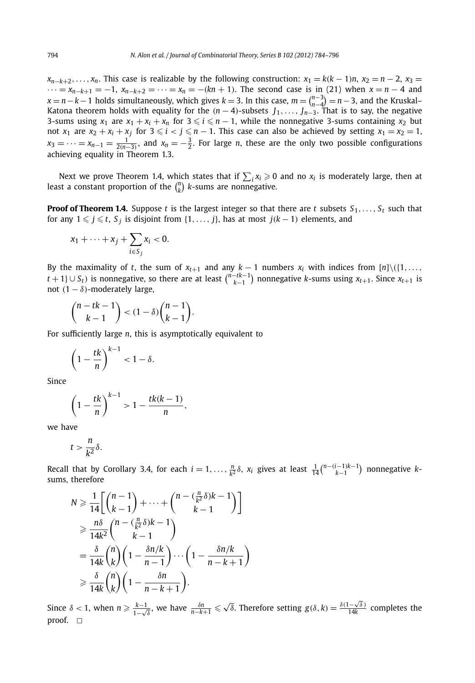$x_{n-k+2}, \ldots, x_n$ . This case is realizable by the following construction:  $x_1 = k(k-1)n$ ,  $x_2 = n-2$ ,  $x_3 =$  $\cdots = x_{n-k+1} = -1$ ,  $x_{n-k+2} = \cdots = x_n = -(kn+1)$ . The second case is in (21) when  $x = n-4$  and  $x = n - k - 1$  holds simultaneously, which gives  $k = 3$ . In this case,  $m = \binom{n-3}{n-4} = n - 3$ , and the Kruskal– Katona theorem holds with equality for the  $(n-4)$ -subsets  $J_1, \ldots, J_{n-3}$ . That is to say, the negative 3-sums using  $x_1$  are  $x_1 + x_i + x_n$  for  $3 \le i \le n - 1$ , while the nonnegative 3-sums containing  $x_2$  but not  $x_1$  are  $x_2 + x_i + x_j$  for  $3 \leq i < j \leq n - 1$ . This case can also be achieved by setting  $x_1 = x_2 = 1$ ,  $x_3 = \cdots = x_{n-1} = \frac{1}{2(n-3)}$ , and  $x_n = -\frac{3}{2}$ . For large *n*, these are the only two possible configurations achieving equality in Theorem 1.3.

Next we prove Theorem 1.4, which states that if  $\sum_i x_i \geqslant 0$  and no  $x_i$  is moderately large, then at least a constant proportion of the  $\binom{n}{k}$  *k*-sums are nonnegative.

**Proof of Theorem 1.4.** Suppose *t* is the largest integer so that there are *t* subsets  $S_1, \ldots, S_t$  such that for any  $1 \leq j \leq t$ ,  $S_j$  is disjoint from  $\{1, \ldots, j\}$ , has at most  $j(k-1)$  elements, and

$$
x_1+\cdots+x_j+\sum_{i\in S_j}x_i<0.
$$

By the maximality of *t*, the sum of  $x_{t+1}$  and any  $k-1$  numbers  $x_i$  with indices from  $[n]\setminus(\{1,\ldots,$ *t* + 1}∪ *S*<sup>*t*</sup>) is nonnegative, so there are at least  $\binom{n-tk-1}{k-1}$  nonnegative *k*-sums using *x*<sub>*t*+1</sub>. Since *x*<sub>*t*+1</sub> is not  $(1 - \delta)$ -moderately large,

$$
\binom{n-tk-1}{k-1} < (1-\delta)\binom{n-1}{k-1}.
$$

For sufficiently large *n*, this is asymptotically equivalent to

$$
\left(1-\frac{tk}{n}\right)^{k-1} < 1-\delta.
$$

Since

$$
\left(1-\frac{tk}{n}\right)^{k-1} > 1-\frac{tk(k-1)}{n},
$$

we have

$$
t>\frac{n}{k^2}\delta.
$$

Recall that by Corollary 3.4, for each  $i = 1, \ldots, \frac{n}{k^2} \delta$ ,  $x_i$  gives at least  $\frac{1}{14} {n - (i-1)k-1 \choose k-1}$  nonnegative  $k$ sums, therefore

$$
N \geq \frac{1}{14} \left[ \binom{n-1}{k-1} + \dots + \binom{n - \left( \frac{n}{k^2} \delta \right) k - 1}{k-1} \right]
$$
  
\n
$$
\geq \frac{n \delta}{14k^2} \binom{n - \left( \frac{n}{k^2} \delta \right) k - 1}{k-1}
$$
  
\n
$$
= \frac{\delta}{14k} \binom{n}{k} \left( 1 - \frac{\delta n/k}{n-1} \right) \dots \left( 1 - \frac{\delta n/k}{n-k+1} \right)
$$
  
\n
$$
\geq \frac{\delta}{14k} \binom{n}{k} \left( 1 - \frac{\delta n}{n-k+1} \right).
$$

Since  $\delta$  < 1, when  $n \ge \frac{k-1}{1-\sqrt{\delta}}$ , we have  $\frac{\delta n}{n-k+1} \le \sqrt{\delta}$ . Therefore setting  $g(\delta, k) = \frac{\delta(1-\sqrt{\delta})}{14k}$  completes the proof.  $\square$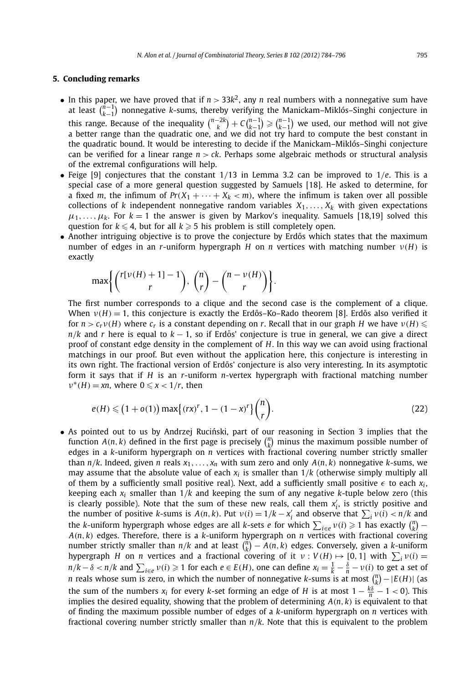#### **5. Concluding remarks**

- In this paper, we have proved that if  $n > 33k^2$ , any *n* real numbers with a nonnegative sum have at least  $\binom{n-1}{k-1}$  nonnegative *k*-sums, thereby verifying the Manickam–Miklós–Singhi conjecture in this range. Because of the inequality  $\binom{n-2k}{k} + C\binom{n-1}{k-1} \geqslant \binom{n-1}{k-1}$  we used, our method will not give a better range than the quadratic one, and we did not try hard to compute the best constant in the quadratic bound. It would be interesting to decide if the Manickam–Miklós–Singhi conjecture can be verified for a linear range *n > ck*. Perhaps some algebraic methods or structural analysis of the extremal configurations will help.
- Feige [9] conjectures that the constant 1*/*13 in Lemma 3.2 can be improved to 1*/e*. This is a special case of a more general question suggested by Samuels [18]. He asked to determine, for a fixed *m*, the infimum of  $Pr(X_1 + \cdots + X_k < m)$ , where the infimum is taken over all possible collections of *k* independent nonnegative random variables  $X_1, \ldots, X_k$  with given expectations  $\mu_1, \ldots, \mu_k$ . For  $k = 1$  the answer is given by Markov's inequality. Samuels [18,19] solved this question for  $k \leqslant 4$ , but for all  $k \geqslant 5$  his problem is still completely open.
- Another intriguing objective is to prove the conjecture by Erdős which states that the maximum number of edges in an *r*-uniform hypergraph *H* on *n* vertices with matching number *ν(H)* is exactly

$$
\max\left\{\binom{r[v(H)+1]-1}{r},\,\binom{n}{r}-\binom{n-v(H)}{r}\right\}.
$$

The first number corresponds to a clique and the second case is the complement of a clique. When  $v(H) = 1$ , this conjecture is exactly the Erdős–Ko–Rado theorem [8]. Erdős also verified it for  $n > c_r v(H)$  where  $c_r$  is a constant depending on *r*. Recall that in our graph *H* we have  $v(H) \leq$  $n/k$  and *r* here is equal to  $k - 1$ , so if Erdős' conjecture is true in general, we can give a direct proof of constant edge density in the complement of *H*. In this way we can avoid using fractional matchings in our proof. But even without the application here, this conjecture is interesting in its own right. The fractional version of Erdős' conjecture is also very interesting. In its asymptotic form it says that if *H* is an *r*-uniform *n*-vertex hypergraph with fractional matching number  $\nu^*(H) = xn$ , where  $0 \le x < 1/r$ , then

$$
e(H) \leq (1 + o(1)) \max\{(rx)^r, 1 - (1 - x)^r\} \binom{n}{r}.
$$
 (22)

• As pointed out to us by Andrzej Ruciński, part of our reasoning in Section 3 implies that the function  $A(n, k)$  defined in the first page is precisely  $\binom{n}{k}$  minus the maximum possible number of edges in a *k*-uniform hypergraph on *n* vertices with fractional covering number strictly smaller than  $n/k$ . Indeed, given *n* reals  $x_1, \ldots, x_n$  with sum zero and only  $A(n, k)$  nonnegative *k*-sums, we may assume that the absolute value of each  $x_i$  is smaller than  $1/k$  (otherwise simply multiply all of them by a sufficiently small positive real). Next, add a sufficiently small positive  $\epsilon$  to each  $x_i$ , keeping each *xi* smaller than 1*/k* and keeping the sum of any negative *k*-tuple below zero (this is clearly possible). Note that the sum of these new reals, call them  $x'_i$ , is strictly positive and the number of positive k-sums is  $A(n, k)$ . Put  $v(i) = 1/k - x'_i$  and observe that  $\sum_i v(i) < n/k$  and the *k*-uniform hypergraph whose edges are all *k*-sets *e* for which  $\sum_{i\in e}\nu(i)\geqslant 1$  has exactly  $\binom{n}{k}$  – *A(n,k)* edges. Therefore, there is a *k*-uniform hypergraph on *n* vertices with fractional covering number strictly smaller than  $n/k$  and at least  $\binom{n}{k} - A(n, k)$  edges. Conversely, given a *k*-uniform hypergraph *H* on *n* vertices and a fractional covering of it  $v: V(H) \mapsto [0, 1]$  with  $\sum_i v(i) =$  $n/k-\delta < n/k$  and  $\sum_{i\in e}\nu(i)\geqslant 1$  for each  $e\in E(H)$ , one can define  $x_i=\frac{1}{k}-\frac{\delta}{n}-\nu(i)$  to get a set of *n* reals whose sum is zero, in which the number of nonnegative *k*-sums is at most  $\binom{n}{k} - |E(H)|$  (as the sum of the numbers  $x_i$  for every *k*-set forming an edge of *H* is at most  $1 - \frac{k\delta}{n} - 1 < 0$ ). This implies the desired equality, showing that the problem of determining *A(n,k)* is equivalent to that of finding the maximum possible number of edges of a *k*-uniform hypergraph on *n* vertices with fractional covering number strictly smaller than *n/k*. Note that this is equivalent to the problem